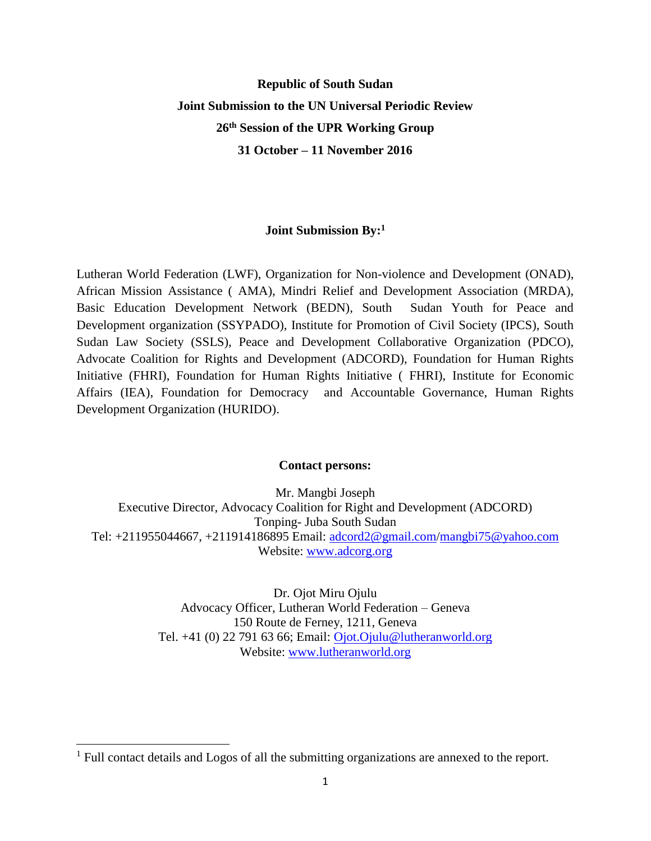# **Republic of South Sudan Joint Submission to the UN Universal Periodic Review 26th Session of the UPR Working Group 31 October – 11 November 2016**

#### **Joint Submission By:<sup>1</sup>**

Lutheran World Federation (LWF), Organization for Non-violence and Development (ONAD), African Mission Assistance ( AMA), Mindri Relief and Development Association (MRDA), Basic Education Development Network (BEDN), South Sudan Youth for Peace and Development organization (SSYPADO), Institute for Promotion of Civil Society (IPCS), South Sudan Law Society (SSLS), Peace and Development Collaborative Organization (PDCO), Advocate Coalition for Rights and Development (ADCORD), Foundation for Human Rights Initiative (FHRI), Foundation for Human Rights Initiative ( FHRI), Institute for Economic Affairs (IEA), Foundation for Democracy and Accountable Governance, Human Rights Development Organization (HURIDO).

#### **Contact persons:**

Mr. Mangbi Joseph Executive Director, Advocacy Coalition for Right and Development (ADCORD) Tonping- Juba South Sudan Tel: +211955044667, +211914186895 Email: [adcord2@gmail.com/](mailto:adcord2@gmail.com)[mangbi75@yahoo.com](mailto:mangbi75@yahoo.com) Website: [www.adcorg.org](http://www.adcorg.org/)

> Dr. Ojot Miru Ojulu Advocacy Officer, Lutheran World Federation – Geneva 150 Route de Ferney, 1211, Geneva Tel. +41 (0) 22 791 63 66; Email: [Ojot.Ojulu@lutheranworld.org](mailto:Ojot.Ojulu@lutheranworld.org) Website: [www.lutheranworld.org](http://www.lutheranworld.org/)

 $<sup>1</sup>$  Full contact details and Logos of all the submitting organizations are annexed to the report.</sup>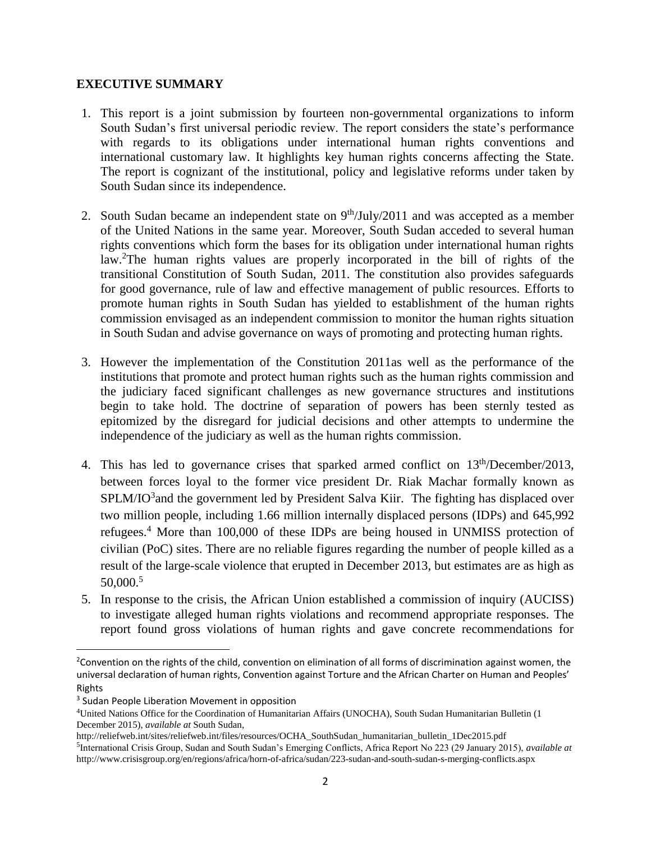#### **EXECUTIVE SUMMARY**

- 1. This report is a joint submission by fourteen non-governmental organizations to inform South Sudan's first universal periodic review. The report considers the state's performance with regards to its obligations under international human rights conventions and international customary law. It highlights key human rights concerns affecting the State. The report is cognizant of the institutional, policy and legislative reforms under taken by South Sudan since its independence.
- 2. South Sudan became an independent state on  $9<sup>th</sup>/July/2011$  and was accepted as a member of the United Nations in the same year. Moreover, South Sudan acceded to several human rights conventions which form the bases for its obligation under international human rights law.<sup>2</sup>The human rights values are properly incorporated in the bill of rights of the transitional Constitution of South Sudan, 2011. The constitution also provides safeguards for good governance, rule of law and effective management of public resources. Efforts to promote human rights in South Sudan has yielded to establishment of the human rights commission envisaged as an independent commission to monitor the human rights situation in South Sudan and advise governance on ways of promoting and protecting human rights.
- 3. However the implementation of the Constitution 2011as well as the performance of the institutions that promote and protect human rights such as the human rights commission and the judiciary faced significant challenges as new governance structures and institutions begin to take hold. The doctrine of separation of powers has been sternly tested as epitomized by the disregard for judicial decisions and other attempts to undermine the independence of the judiciary as well as the human rights commission.
- 4. This has led to governance crises that sparked armed conflict on 13<sup>th</sup>/December/2013, between forces loyal to the former vice president Dr. Riak Machar formally known as  $SPLM/O<sup>3</sup>$  and the government led by President Salva Kiir. The fighting has displaced over two million people, including 1.66 million internally displaced persons (IDPs) and 645,992 refugees.<sup>4</sup> More than 100,000 of these IDPs are being housed in UNMISS protection of civilian (PoC) sites. There are no reliable figures regarding the number of people killed as a result of the large-scale violence that erupted in December 2013, but estimates are as high as 50,000.<sup>5</sup>
- 5. In response to the crisis, the African Union established a commission of inquiry (AUCISS) to investigate alleged human rights violations and recommend appropriate responses. The report found gross violations of human rights and gave concrete recommendations for

 $\overline{a}$ 

<sup>&</sup>lt;sup>2</sup>Convention on the rights of the child, convention on elimination of all forms of discrimination against women, the universal declaration of human rights, Convention against Torture and the African Charter on Human and Peoples' Rights

<sup>&</sup>lt;sup>3</sup> Sudan People Liberation Movement in opposition

<sup>4</sup>United Nations Office for the Coordination of Humanitarian Affairs (UNOCHA), South Sudan Humanitarian Bulletin (1 December 2015), *available at* South Sudan,

http://reliefweb.int/sites/reliefweb.int/files/resources/OCHA\_SouthSudan\_humanitarian\_bulletin\_1Dec2015.pdf 5 International Crisis Group, Sudan and South Sudan's Emerging Conflicts, Africa Report No 223 (29 January 2015), *available at*  http://www.crisisgroup.org/en/regions/africa/horn-of-africa/sudan/223-sudan-and-south-sudan-s-merging-conflicts.aspx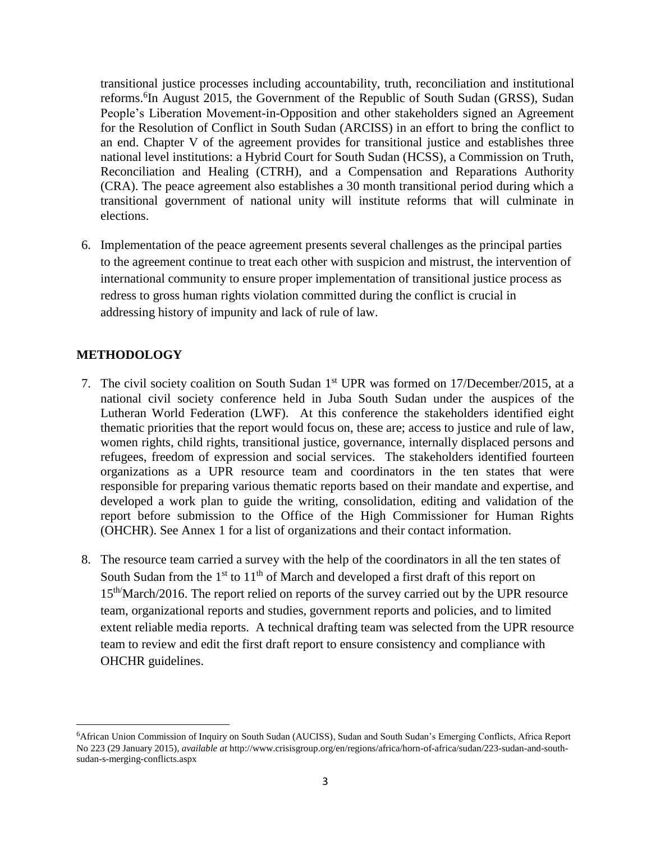transitional justice processes including accountability, truth, reconciliation and institutional reforms.<sup>6</sup>In August 2015, the Government of the Republic of South Sudan (GRSS), Sudan People's Liberation Movement-in-Opposition and other stakeholders signed an Agreement for the Resolution of Conflict in South Sudan (ARCISS) in an effort to bring the conflict to an end. Chapter V of the agreement provides for transitional justice and establishes three national level institutions: a Hybrid Court for South Sudan (HCSS), a Commission on Truth, Reconciliation and Healing (CTRH), and a Compensation and Reparations Authority (CRA). The peace agreement also establishes a 30 month transitional period during which a transitional government of national unity will institute reforms that will culminate in elections.

6. Implementation of the peace agreement presents several challenges as the principal parties to the agreement continue to treat each other with suspicion and mistrust, the intervention of international community to ensure proper implementation of transitional justice process as redress to gross human rights violation committed during the conflict is crucial in addressing history of impunity and lack of rule of law.

# **METHODOLOGY**

- 7. The civil society coalition on South Sudan 1<sup>st</sup> UPR was formed on 17/December/2015, at a national civil society conference held in Juba South Sudan under the auspices of the Lutheran World Federation (LWF). At this conference the stakeholders identified eight thematic priorities that the report would focus on, these are; access to justice and rule of law, women rights, child rights, transitional justice, governance, internally displaced persons and refugees, freedom of expression and social services. The stakeholders identified fourteen organizations as a UPR resource team and coordinators in the ten states that were responsible for preparing various thematic reports based on their mandate and expertise, and developed a work plan to guide the writing, consolidation, editing and validation of the report before submission to the Office of the High Commissioner for Human Rights (OHCHR). See Annex 1 for a list of organizations and their contact information.
- 8. The resource team carried a survey with the help of the coordinators in all the ten states of South Sudan from the  $1<sup>st</sup>$  to  $11<sup>th</sup>$  of March and developed a first draft of this report on 15th/March/2016. The report relied on reports of the survey carried out by the UPR resource team, organizational reports and studies, government reports and policies, and to limited extent reliable media reports. A technical drafting team was selected from the UPR resource team to review and edit the first draft report to ensure consistency and compliance with OHCHR guidelines.

<sup>6</sup>African Union Commission of Inquiry on South Sudan (AUCISS), Sudan and South Sudan's Emerging Conflicts, Africa Report No 223 (29 January 2015), *available at* http://www.crisisgroup.org/en/regions/africa/horn-of-africa/sudan/223-sudan-and-southsudan-s-merging-conflicts.aspx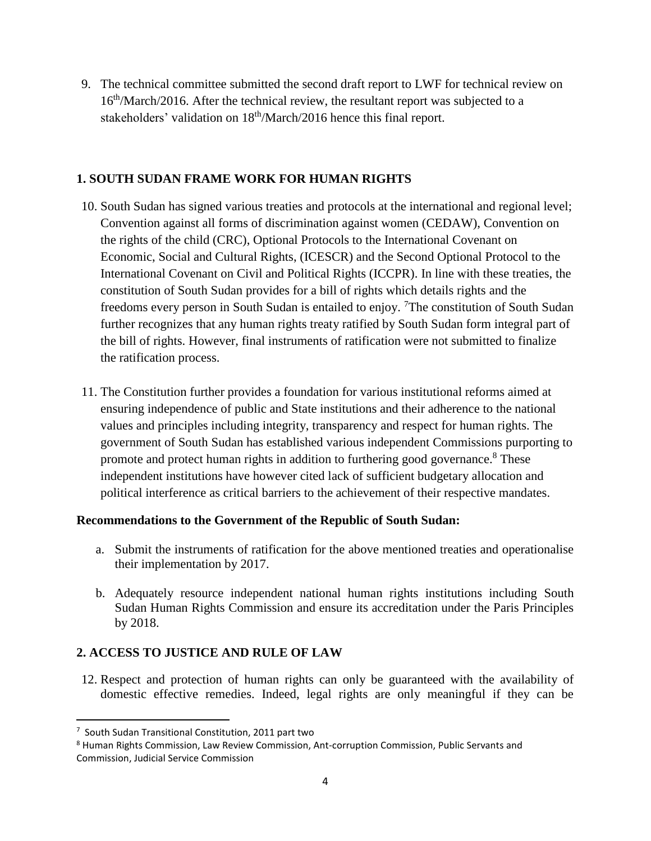9. The technical committee submitted the second draft report to LWF for technical review on 16<sup>th</sup>/March/2016. After the technical review, the resultant report was subjected to a stakeholders' validation on  $18<sup>th</sup>/\text{March}/2016$  hence this final report.

# **1. SOUTH SUDAN FRAME WORK FOR HUMAN RIGHTS**

- 10. South Sudan has signed various treaties and protocols at the international and regional level; Convention against all forms of discrimination against women (CEDAW), Convention on the rights of the child (CRC), Optional Protocols to the International Covenant on Economic, Social and Cultural Rights, (ICESCR) and the Second Optional Protocol to the International Covenant on Civil and Political Rights (ICCPR). In line with these treaties, the constitution of South Sudan provides for a bill of rights which details rights and the freedoms every person in South Sudan is entailed to enjoy. <sup>7</sup>The constitution of South Sudan further recognizes that any human rights treaty ratified by South Sudan form integral part of the bill of rights. However, final instruments of ratification were not submitted to finalize the ratification process.
- 11. The Constitution further provides a foundation for various institutional reforms aimed at ensuring independence of public and State institutions and their adherence to the national values and principles including integrity, transparency and respect for human rights. The government of South Sudan has established various independent Commissions purporting to promote and protect human rights in addition to furthering good governance.<sup>8</sup> These independent institutions have however cited lack of sufficient budgetary allocation and political interference as critical barriers to the achievement of their respective mandates.

# **Recommendations to the Government of the Republic of South Sudan:**

- a. Submit the instruments of ratification for the above mentioned treaties and operationalise their implementation by 2017.
- b. Adequately resource independent national human rights institutions including South Sudan Human Rights Commission and ensure its accreditation under the Paris Principles by 2018.

# **2. ACCESS TO JUSTICE AND RULE OF LAW**

12. Respect and protection of human rights can only be guaranteed with the availability of domestic effective remedies. Indeed, legal rights are only meaningful if they can be

<sup>7</sup> South Sudan Transitional Constitution, 2011 part two

<sup>8</sup> Human Rights Commission, Law Review Commission, Ant-corruption Commission, Public Servants and Commission, Judicial Service Commission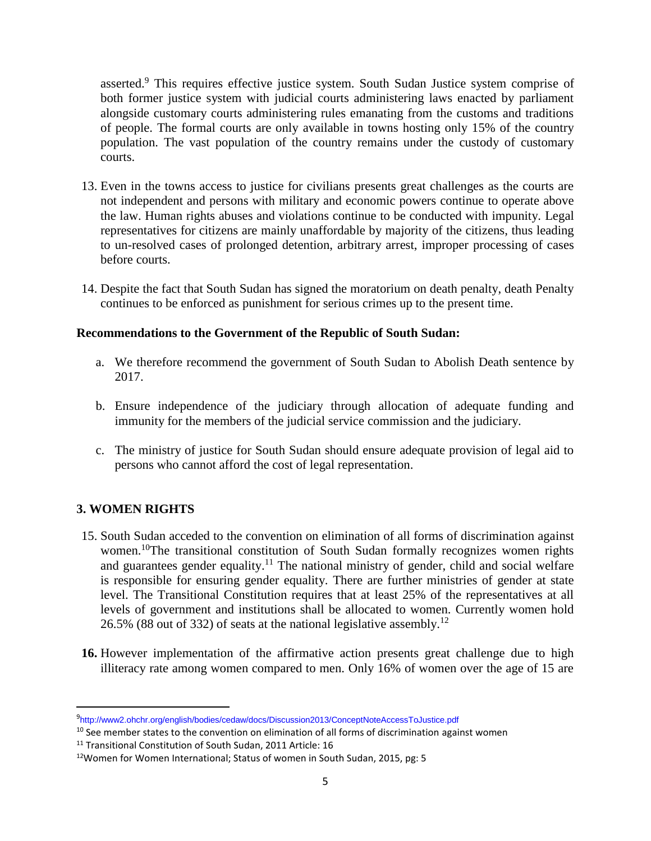asserted.<sup>9</sup> This requires effective justice system. South Sudan Justice system comprise of both former justice system with judicial courts administering laws enacted by parliament alongside customary courts administering rules emanating from the customs and traditions of people. The formal courts are only available in towns hosting only 15% of the country population. The vast population of the country remains under the custody of customary courts.

- 13. Even in the towns access to justice for civilians presents great challenges as the courts are not independent and persons with military and economic powers continue to operate above the law. Human rights abuses and violations continue to be conducted with impunity. Legal representatives for citizens are mainly unaffordable by majority of the citizens, thus leading to un-resolved cases of prolonged detention, arbitrary arrest, improper processing of cases before courts.
- 14. Despite the fact that South Sudan has signed the moratorium on death penalty, death Penalty continues to be enforced as punishment for serious crimes up to the present time.

#### **Recommendations to the Government of the Republic of South Sudan:**

- a. We therefore recommend the government of South Sudan to Abolish Death sentence by 2017.
- b. Ensure independence of the judiciary through allocation of adequate funding and immunity for the members of the judicial service commission and the judiciary.
- c. The ministry of justice for South Sudan should ensure adequate provision of legal aid to persons who cannot afford the cost of legal representation.

# **3. WOMEN RIGHTS**

 $\overline{a}$ 

- 15. South Sudan acceded to the convention on elimination of all forms of discrimination against women.<sup>10</sup>The transitional constitution of South Sudan formally recognizes women rights and guarantees gender equality.<sup>11</sup> The national ministry of gender, child and social welfare is responsible for ensuring gender equality. There are further ministries of gender at state level. The Transitional Constitution requires that at least 25% of the representatives at all levels of government and institutions shall be allocated to women. Currently women hold 26.5% (88 out of 332) of seats at the national legislative assembly.<sup>12</sup>
- **16.** However implementation of the affirmative action presents great challenge due to high illiteracy rate among women compared to men. Only 16% of women over the age of 15 are

<sup>9</sup> http://www2.ohchr.org/english/bodies/cedaw/docs/Discussion2013/ConceptNoteAccessToJustice.pdf

<sup>&</sup>lt;sup>10</sup> See member states to the convention on elimination of all forms of discrimination against women

<sup>&</sup>lt;sup>11</sup> Transitional Constitution of South Sudan, 2011 Article: 16

<sup>&</sup>lt;sup>12</sup>Women for Women International; Status of women in South Sudan, 2015, pg: 5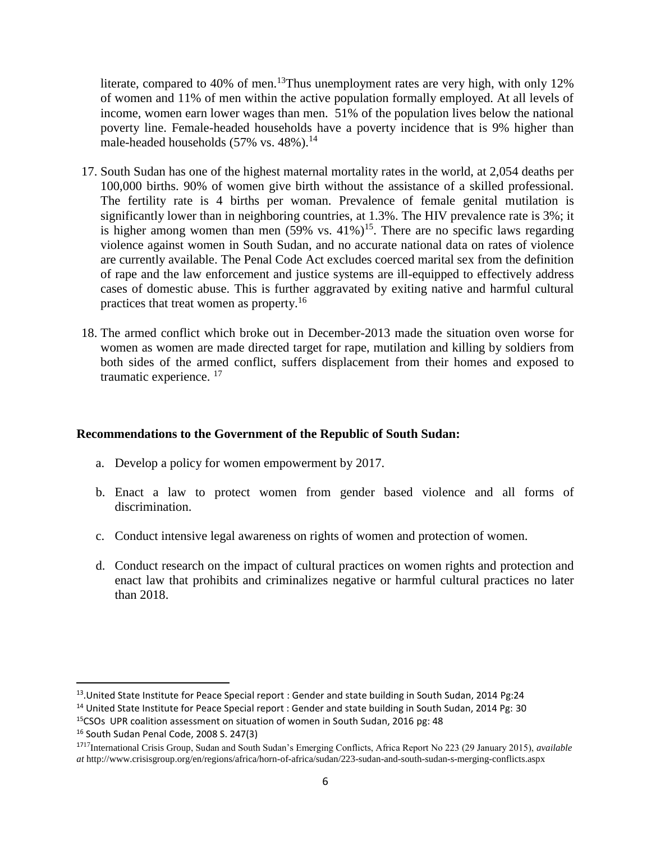literate, compared to 40% of men.<sup>13</sup>Thus unemployment rates are very high, with only 12% of women and 11% of men within the active population formally employed. At all levels of income, women earn lower wages than men. 51% of the population lives below the national poverty line. Female-headed households have a poverty incidence that is 9% higher than male-headed households  $(57\% \text{ vs. } 48\%).$ <sup>14</sup>

- 17. South Sudan has one of the highest maternal mortality rates in the world, at 2,054 deaths per 100,000 births. 90% of women give birth without the assistance of a skilled professional. The fertility rate is 4 births per woman. Prevalence of female genital mutilation is significantly lower than in neighboring countries, at 1.3%. The HIV prevalence rate is 3%; it is higher among women than men  $(59\% \text{ vs. } 41\%)^{15}$ . There are no specific laws regarding violence against women in South Sudan, and no accurate national data on rates of violence are currently available. The Penal Code Act excludes coerced marital sex from the definition of rape and the law enforcement and justice systems are ill-equipped to effectively address cases of domestic abuse. This is further aggravated by exiting native and harmful cultural practices that treat women as property.<sup>16</sup>
- 18. The armed conflict which broke out in December-2013 made the situation oven worse for women as women are made directed target for rape, mutilation and killing by soldiers from both sides of the armed conflict, suffers displacement from their homes and exposed to traumatic experience. <sup>17</sup>

#### **Recommendations to the Government of the Republic of South Sudan:**

- a. Develop a policy for women empowerment by 2017.
- b. Enact a law to protect women from gender based violence and all forms of discrimination.
- c. Conduct intensive legal awareness on rights of women and protection of women.
- d. Conduct research on the impact of cultural practices on women rights and protection and enact law that prohibits and criminalizes negative or harmful cultural practices no later than 2018.

<sup>&</sup>lt;sup>13</sup>. United State Institute for Peace Special report : Gender and state building in South Sudan, 2014 Pg:24

<sup>&</sup>lt;sup>14</sup> United State Institute for Peace Special report : Gender and state building in South Sudan, 2014 Pg: 30

<sup>15</sup>CSOs UPR coalition assessment on situation of women in South Sudan, 2016 pg: 48 <sup>16</sup> South Sudan Penal Code, 2008 S. 247(3)

<sup>17</sup>17International Crisis Group, Sudan and South Sudan's Emerging Conflicts, Africa Report No 223 (29 January 2015), *available at* http://www.crisisgroup.org/en/regions/africa/horn-of-africa/sudan/223-sudan-and-south-sudan-s-merging-conflicts.aspx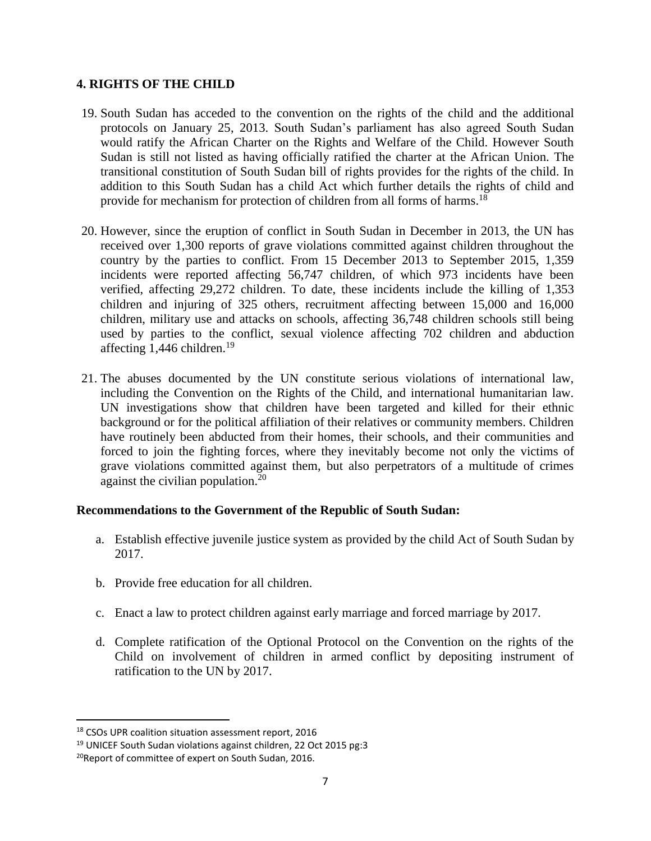#### **4. RIGHTS OF THE CHILD**

- 19. South Sudan has acceded to the convention on the rights of the child and the additional protocols on January 25, 2013. South Sudan's parliament has also agreed South Sudan would ratify the African Charter on the Rights and Welfare of the Child. However South Sudan is still not listed as having officially ratified the charter at the African Union. The transitional constitution of South Sudan bill of rights provides for the rights of the child. In addition to this South Sudan has a child Act which further details the rights of child and provide for mechanism for protection of children from all forms of harms.<sup>18</sup>
- 20. However, since the eruption of conflict in South Sudan in December in 2013, the UN has received over 1,300 reports of grave violations committed against children throughout the country by the parties to conflict. From 15 December 2013 to September 2015, 1,359 incidents were reported affecting 56,747 children, of which 973 incidents have been verified, affecting 29,272 children. To date, these incidents include the killing of 1,353 children and injuring of 325 others, recruitment affecting between 15,000 and 16,000 children, military use and attacks on schools, affecting 36,748 children schools still being used by parties to the conflict, sexual violence affecting 702 children and abduction affecting 1,446 children.<sup>19</sup>
- 21. The abuses documented by the UN constitute serious violations of international law, including the Convention on the Rights of the Child, and international humanitarian law. UN investigations show that children have been targeted and killed for their ethnic background or for the political affiliation of their relatives or community members. Children have routinely been abducted from their homes, their schools, and their communities and forced to join the fighting forces, where they inevitably become not only the victims of grave violations committed against them, but also perpetrators of a multitude of crimes against the civilian population.<sup>20</sup>

# **Recommendations to the Government of the Republic of South Sudan:**

- a. Establish effective juvenile justice system as provided by the child Act of South Sudan by 2017.
- b. Provide free education for all children.
- c. Enact a law to protect children against early marriage and forced marriage by 2017.
- d. Complete ratification of the Optional Protocol on the Convention on the rights of the Child on involvement of children in armed conflict by depositing instrument of ratification to the UN by 2017.

<sup>18</sup> CSOs UPR coalition situation assessment report, 2016

 $19$  UNICEF South Sudan violations against children, 22 Oct 2015 pg:3

<sup>&</sup>lt;sup>20</sup>Report of committee of expert on South Sudan, 2016.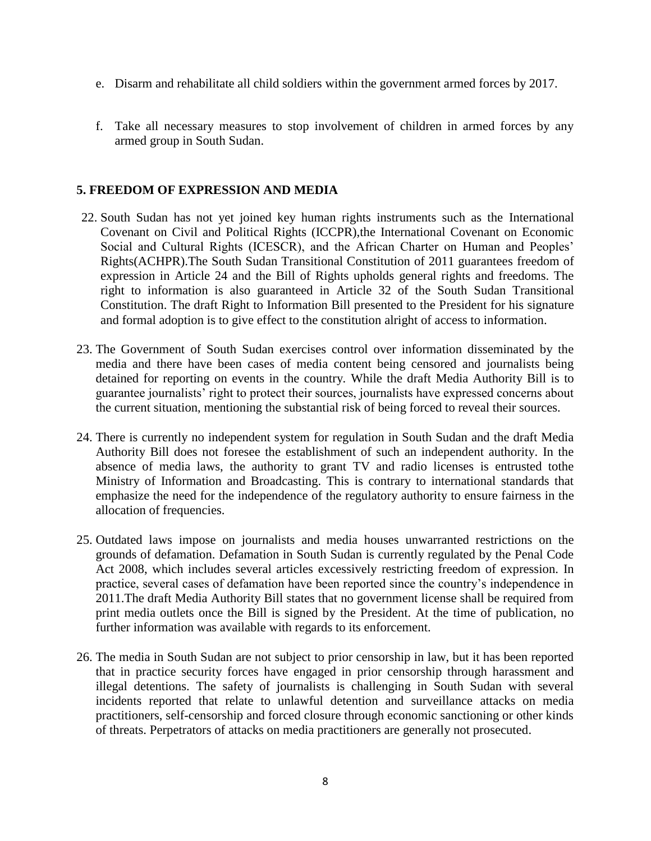- e. Disarm and rehabilitate all child soldiers within the government armed forces by 2017.
- f. Take all necessary measures to stop involvement of children in armed forces by any armed group in South Sudan.

### **5. FREEDOM OF EXPRESSION AND MEDIA**

- 22. South Sudan has not yet joined key human rights instruments such as the International Covenant on Civil and Political Rights (ICCPR),the International Covenant on Economic Social and Cultural Rights (ICESCR), and the African Charter on Human and Peoples' Rights(ACHPR).The South Sudan Transitional Constitution of 2011 guarantees freedom of expression in Article 24 and the Bill of Rights upholds general rights and freedoms. The right to information is also guaranteed in Article 32 of the South Sudan Transitional Constitution. The draft Right to Information Bill presented to the President for his signature and formal adoption is to give effect to the constitution alright of access to information.
- 23. The Government of South Sudan exercises control over information disseminated by the media and there have been cases of media content being censored and journalists being detained for reporting on events in the country. While the draft Media Authority Bill is to guarantee journalists' right to protect their sources, journalists have expressed concerns about the current situation, mentioning the substantial risk of being forced to reveal their sources.
- 24. There is currently no independent system for regulation in South Sudan and the draft Media Authority Bill does not foresee the establishment of such an independent authority. In the absence of media laws, the authority to grant TV and radio licenses is entrusted tothe Ministry of Information and Broadcasting. This is contrary to international standards that emphasize the need for the independence of the regulatory authority to ensure fairness in the allocation of frequencies.
- 25. Outdated laws impose on journalists and media houses unwarranted restrictions on the grounds of defamation. Defamation in South Sudan is currently regulated by the Penal Code Act 2008, which includes several articles excessively restricting freedom of expression. In practice, several cases of defamation have been reported since the country's independence in 2011.The draft Media Authority Bill states that no government license shall be required from print media outlets once the Bill is signed by the President. At the time of publication, no further information was available with regards to its enforcement.
- 26. The media in South Sudan are not subject to prior censorship in law, but it has been reported that in practice security forces have engaged in prior censorship through harassment and illegal detentions. The safety of journalists is challenging in South Sudan with several incidents reported that relate to unlawful detention and surveillance attacks on media practitioners, self-censorship and forced closure through economic sanctioning or other kinds of threats. Perpetrators of attacks on media practitioners are generally not prosecuted.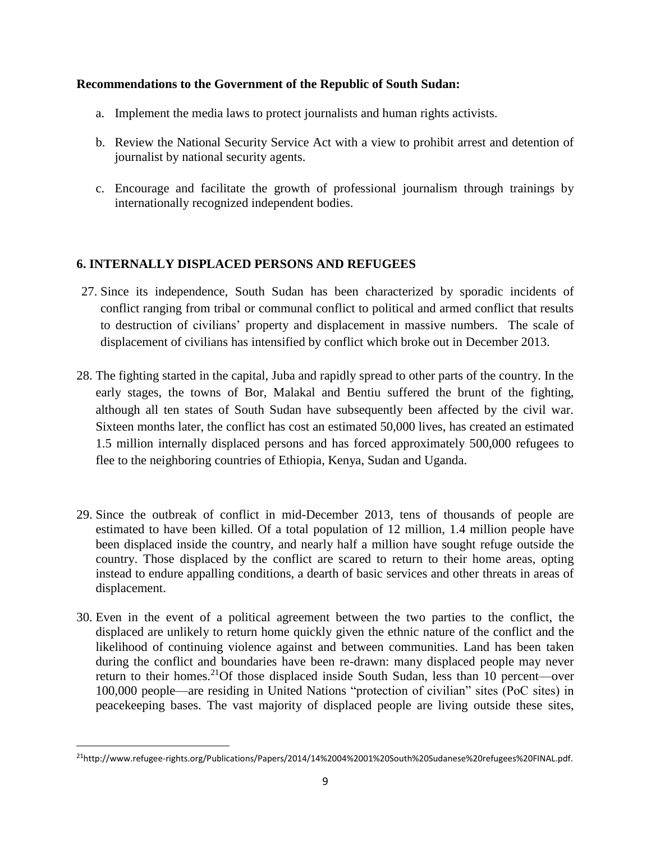#### **Recommendations to the Government of the Republic of South Sudan:**

- a. Implement the media laws to protect journalists and human rights activists.
- b. Review the National Security Service Act with a view to prohibit arrest and detention of journalist by national security agents.
- c. Encourage and facilitate the growth of professional journalism through trainings by internationally recognized independent bodies.

# **6. INTERNALLY DISPLACED PERSONS AND REFUGEES**

- 27. Since its independence, South Sudan has been characterized by sporadic incidents of conflict ranging from tribal or communal conflict to political and armed conflict that results to destruction of civilians' property and displacement in massive numbers. The scale of displacement of civilians has intensified by conflict which broke out in December 2013.
- 28. The fighting started in the capital, Juba and rapidly spread to other parts of the country. In the early stages, the towns of Bor, Malakal and Bentiu suffered the brunt of the fighting, although all ten states of South Sudan have subsequently been affected by the civil war. Sixteen months later, the conflict has cost an estimated 50,000 lives, has created an estimated 1.5 million internally displaced persons and has forced approximately 500,000 refugees to flee to the neighboring countries of Ethiopia, Kenya, Sudan and Uganda.
- 29. Since the outbreak of conflict in mid-December 2013, tens of thousands of people are estimated to have been killed. Of a total population of 12 million, 1.4 million people have been displaced inside the country, and nearly half a million have sought refuge outside the country. Those displaced by the conflict are scared to return to their home areas, opting instead to endure appalling conditions, a dearth of basic services and other threats in areas of displacement.
- 30. Even in the event of a political agreement between the two parties to the conflict, the displaced are unlikely to return home quickly given the ethnic nature of the conflict and the likelihood of continuing violence against and between communities. Land has been taken during the conflict and boundaries have been re-drawn: many displaced people may never return to their homes.<sup>21</sup>Of those displaced inside South Sudan, less than 10 percent—over 100,000 people—are residing in United Nations "protection of civilian" sites (PoC sites) in peacekeeping bases. The vast majority of displaced people are living outside these sites,

<sup>21</sup>http://www.refugee-rights.org/Publications/Papers/2014/14%2004%2001%20South%20Sudanese%20refugees%20FINAL.pdf.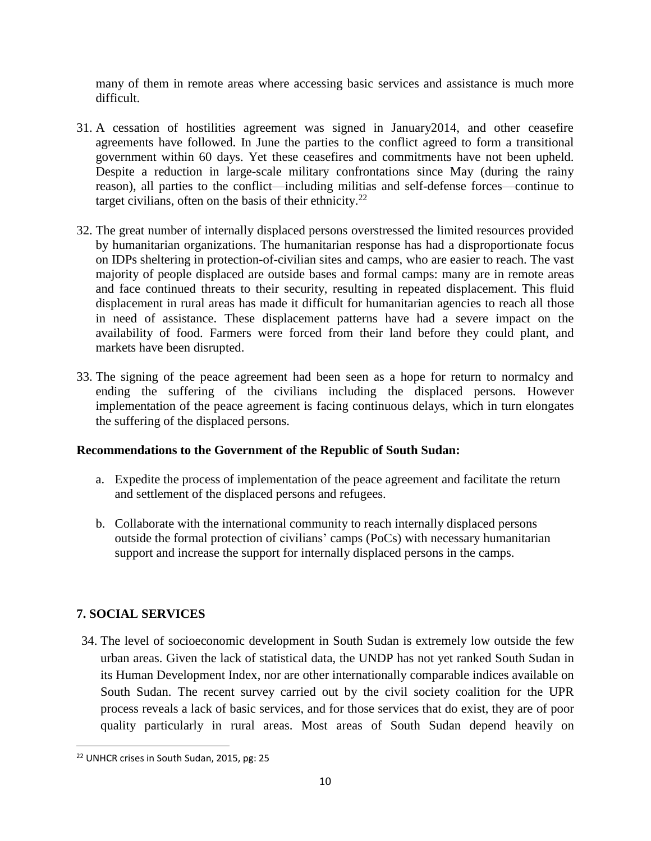many of them in remote areas where accessing basic services and assistance is much more difficult.

- 31. A cessation of hostilities agreement was signed in January2014, and other ceasefire agreements have followed. In June the parties to the conflict agreed to form a transitional government within 60 days. Yet these ceasefires and commitments have not been upheld. Despite a reduction in large-scale military confrontations since May (during the rainy reason), all parties to the conflict—including militias and self-defense forces—continue to target civilians, often on the basis of their ethnicity.<sup>22</sup>
- 32. The great number of internally displaced persons overstressed the limited resources provided by humanitarian organizations. The humanitarian response has had a disproportionate focus on IDPs sheltering in protection-of-civilian sites and camps, who are easier to reach. The vast majority of people displaced are outside bases and formal camps: many are in remote areas and face continued threats to their security, resulting in repeated displacement. This fluid displacement in rural areas has made it difficult for humanitarian agencies to reach all those in need of assistance. These displacement patterns have had a severe impact on the availability of food. Farmers were forced from their land before they could plant, and markets have been disrupted.
- 33. The signing of the peace agreement had been seen as a hope for return to normalcy and ending the suffering of the civilians including the displaced persons. However implementation of the peace agreement is facing continuous delays, which in turn elongates the suffering of the displaced persons.

# **Recommendations to the Government of the Republic of South Sudan:**

- a. Expedite the process of implementation of the peace agreement and facilitate the return and settlement of the displaced persons and refugees.
- b. Collaborate with the international community to reach internally displaced persons outside the formal protection of civilians' camps (PoCs) with necessary humanitarian support and increase the support for internally displaced persons in the camps.

# **7. SOCIAL SERVICES**

 $\overline{\phantom{a}}$ 

34. The level of socioeconomic development in South Sudan is extremely low outside the few urban areas. Given the lack of statistical data, the UNDP has not yet ranked South Sudan in its Human Development Index, nor are other internationally comparable indices available on South Sudan. The recent survey carried out by the civil society coalition for the UPR process reveals a lack of basic services, and for those services that do exist, they are of poor quality particularly in rural areas. Most areas of South Sudan depend heavily on

<sup>22</sup> UNHCR crises in South Sudan, 2015, pg: 25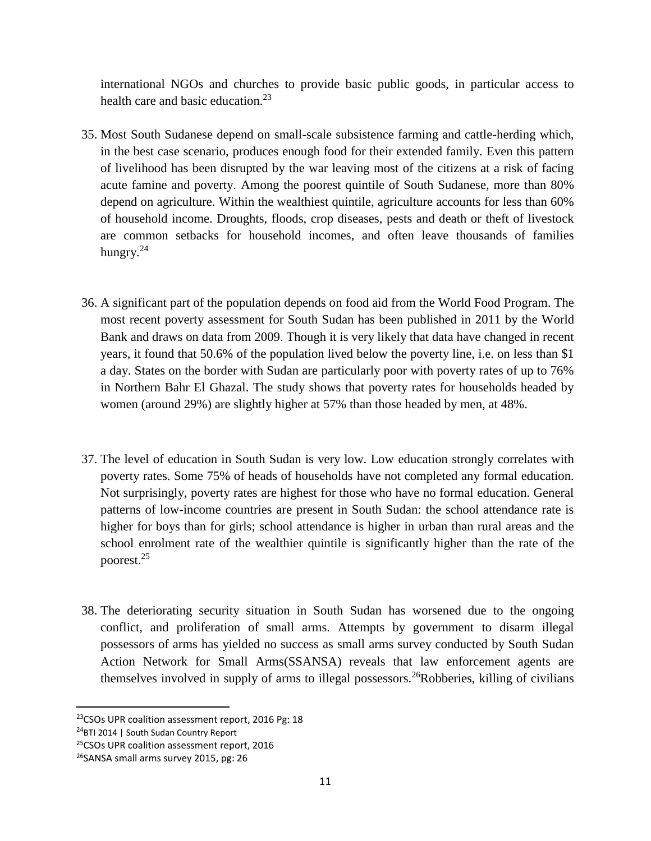international NGOs and churches to provide basic public goods, in particular access to health care and basic education.<sup>23</sup>

- 35. Most South Sudanese depend on small-scale subsistence farming and cattle-herding which, in the best case scenario, produces enough food for their extended family. Even this pattern of livelihood has been disrupted by the war leaving most of the citizens at a risk of facing acute famine and poverty. Among the poorest quintile of South Sudanese, more than 80% depend on agriculture. Within the wealthiest quintile, agriculture accounts for less than 60% of household income. Droughts, floods, crop diseases, pests and death or theft of livestock are common setbacks for household incomes, and often leave thousands of families hungry.<sup>24</sup>
- 36. A significant part of the population depends on food aid from the World Food Program. The most recent poverty assessment for South Sudan has been published in 2011 by the World Bank and draws on data from 2009. Though it is very likely that data have changed in recent years, it found that 50.6% of the population lived below the poverty line, i.e. on less than \$1 a day. States on the border with Sudan are particularly poor with poverty rates of up to 76% in Northern Bahr El Ghazal. The study shows that poverty rates for households headed by women (around 29%) are slightly higher at 57% than those headed by men, at 48%.
- 37. The level of education in South Sudan is very low. Low education strongly correlates with poverty rates. Some 75% of heads of households have not completed any formal education. Not surprisingly, poverty rates are highest for those who have no formal education. General patterns of low-income countries are present in South Sudan: the school attendance rate is higher for boys than for girls; school attendance is higher in urban than rural areas and the school enrolment rate of the wealthier quintile is significantly higher than the rate of the poorest.<sup>25</sup>
- 38. The deteriorating security situation in South Sudan has worsened due to the ongoing conflict, and proliferation of small arms. Attempts by government to disarm illegal possessors of arms has yielded no success as small arms survey conducted by South Sudan Action Network for Small Arms(SSANSA) reveals that law enforcement agents are themselves involved in supply of arms to illegal possessors.<sup>26</sup>Robberies, killing of civilians

 $\overline{a}$ 

<sup>&</sup>lt;sup>23</sup>CSOs UPR coalition assessment report, 2016 Pg: 18

<sup>&</sup>lt;sup>24</sup>BTI 2014 | South Sudan Country Report

<sup>&</sup>lt;sup>25</sup>CSOs UPR coalition assessment report, 2016

<sup>&</sup>lt;sup>26</sup>SANSA small arms survey 2015, pg: 26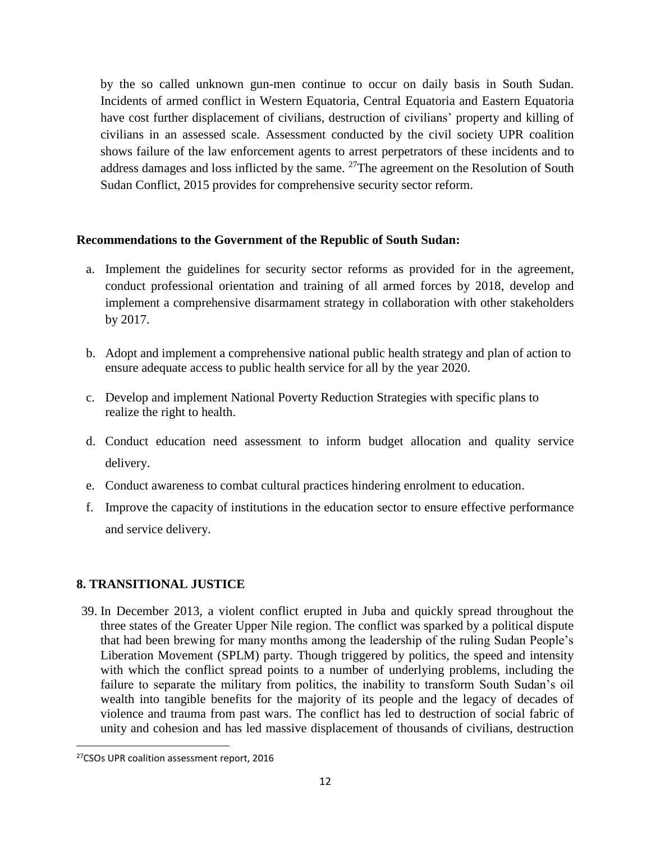by the so called unknown gun-men continue to occur on daily basis in South Sudan. Incidents of armed conflict in Western Equatoria, Central Equatoria and Eastern Equatoria have cost further displacement of civilians, destruction of civilians' property and killing of civilians in an assessed scale. Assessment conducted by the civil society UPR coalition shows failure of the law enforcement agents to arrest perpetrators of these incidents and to address damages and loss inflicted by the same. <sup>27</sup>The agreement on the Resolution of South Sudan Conflict, 2015 provides for comprehensive security sector reform.

#### **Recommendations to the Government of the Republic of South Sudan:**

- a. Implement the guidelines for security sector reforms as provided for in the agreement, conduct professional orientation and training of all armed forces by 2018, develop and implement a comprehensive disarmament strategy in collaboration with other stakeholders by 2017.
- b. Adopt and implement a comprehensive national public health strategy and plan of action to ensure adequate access to public health service for all by the year 2020.
- c. Develop and implement National Poverty Reduction Strategies with specific plans to realize the right to health.
- d. Conduct education need assessment to inform budget allocation and quality service delivery.
- e. Conduct awareness to combat cultural practices hindering enrolment to education.
- f. Improve the capacity of institutions in the education sector to ensure effective performance and service delivery.

# **8. TRANSITIONAL JUSTICE**

39. In December 2013, a violent conflict erupted in Juba and quickly spread throughout the three states of the Greater Upper Nile region. The conflict was sparked by a political dispute that had been brewing for many months among the leadership of the ruling Sudan People's Liberation Movement (SPLM) party. Though triggered by politics, the speed and intensity with which the conflict spread points to a number of underlying problems, including the failure to separate the military from politics, the inability to transform South Sudan's oil wealth into tangible benefits for the majority of its people and the legacy of decades of violence and trauma from past wars. The conflict has led to destruction of social fabric of unity and cohesion and has led massive displacement of thousands of civilians, destruction

<sup>27</sup>CSOs UPR coalition assessment report, 2016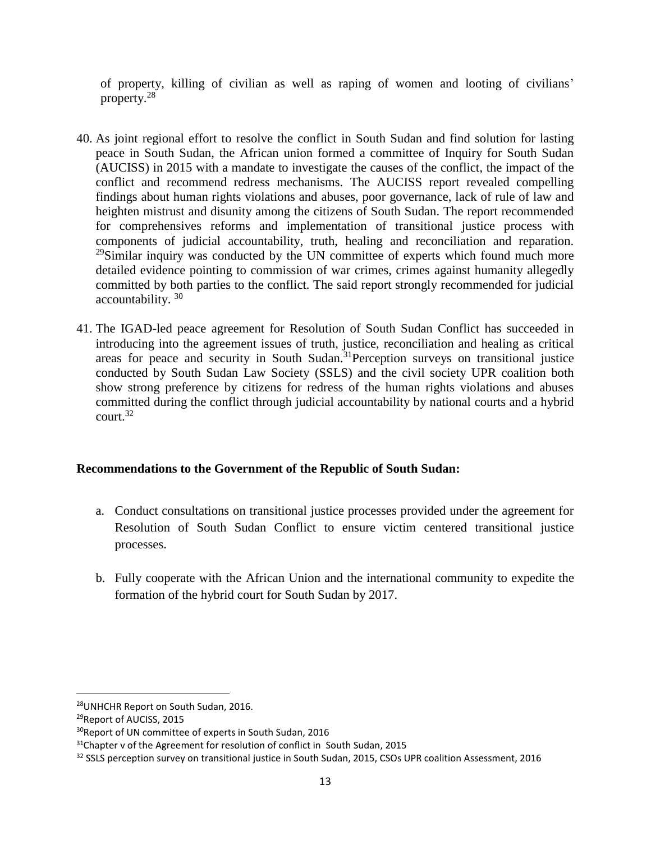of property, killing of civilian as well as raping of women and looting of civilians' property.<sup>28</sup>

- 40. As joint regional effort to resolve the conflict in South Sudan and find solution for lasting peace in South Sudan, the African union formed a committee of Inquiry for South Sudan (AUCISS) in 2015 with a mandate to investigate the causes of the conflict, the impact of the conflict and recommend redress mechanisms. The AUCISS report revealed compelling findings about human rights violations and abuses, poor governance, lack of rule of law and heighten mistrust and disunity among the citizens of South Sudan. The report recommended for comprehensives reforms and implementation of transitional justice process with components of judicial accountability, truth, healing and reconciliation and reparation. <sup>29</sup>Similar inquiry was conducted by the UN committee of experts which found much more detailed evidence pointing to commission of war crimes, crimes against humanity allegedly committed by both parties to the conflict. The said report strongly recommended for judicial accountability. <sup>30</sup>
- 41. The IGAD-led peace agreement for Resolution of South Sudan Conflict has succeeded in introducing into the agreement issues of truth, justice, reconciliation and healing as critical areas for peace and security in South Sudan.<sup>31</sup>Perception surveys on transitional justice conducted by South Sudan Law Society (SSLS) and the civil society UPR coalition both show strong preference by citizens for redress of the human rights violations and abuses committed during the conflict through judicial accountability by national courts and a hybrid court.<sup>32</sup>

# **Recommendations to the Government of the Republic of South Sudan:**

- a. Conduct consultations on transitional justice processes provided under the agreement for Resolution of South Sudan Conflict to ensure victim centered transitional justice processes.
- b. Fully cooperate with the African Union and the international community to expedite the formation of the hybrid court for South Sudan by 2017.

l

<sup>28</sup>UNHCHR Report on South Sudan, 2016.

<sup>29</sup>Report of AUCISS, 2015

<sup>&</sup>lt;sup>30</sup>Report of UN committee of experts in South Sudan, 2016

 $31$ Chapter v of the Agreement for resolution of conflict in South Sudan, 2015

<sup>&</sup>lt;sup>32</sup> SSLS perception survey on transitional justice in South Sudan, 2015, CSOs UPR coalition Assessment, 2016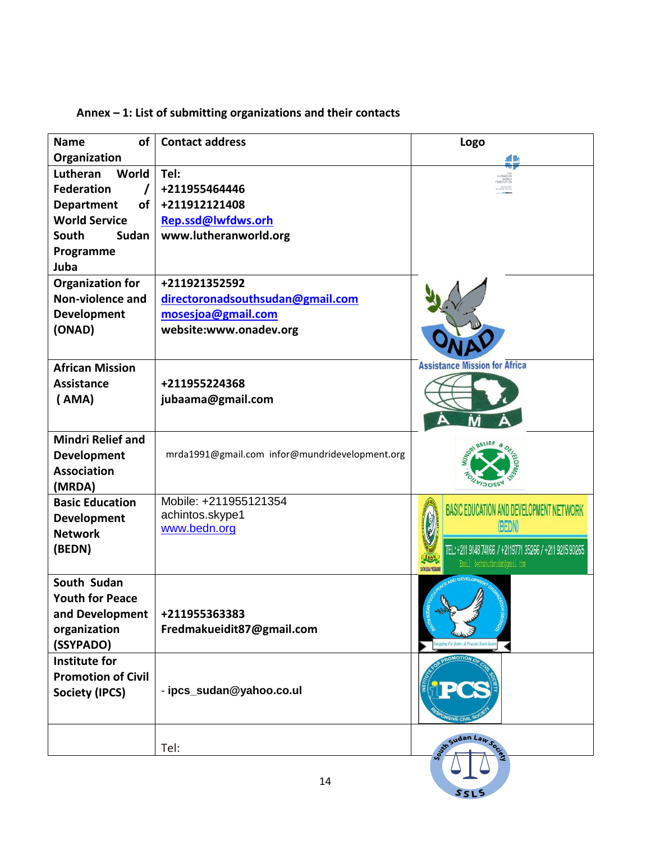| Annex $-1$ : List of submitting organizations and their contacts |
|------------------------------------------------------------------|
|------------------------------------------------------------------|

| of<br><b>Name</b>                    | <b>Contact address</b>                         | Logo                                                    |
|--------------------------------------|------------------------------------------------|---------------------------------------------------------|
| Organization                         |                                                |                                                         |
| World<br>Lutheran                    | Tel:                                           | WORL<br>FEDERATIO                                       |
| <b>Federation</b>                    | +211955464446                                  |                                                         |
| <b>Department</b><br>of <sub>1</sub> | +211912121408                                  |                                                         |
| <b>World Service</b>                 | Rep.ssd@lwfdws.orh                             |                                                         |
| South<br>Sudan                       | www.lutheranworld.org                          |                                                         |
| Programme                            |                                                |                                                         |
| Juba                                 |                                                |                                                         |
| <b>Organization for</b>              | +211921352592                                  |                                                         |
| Non-violence and                     | directoronadsouthsudan@gmail.com               |                                                         |
| Development                          | mosesjoa@gmail.com                             |                                                         |
| (ONAD)                               | website:www.onadev.org                         |                                                         |
|                                      |                                                |                                                         |
| <b>African Mission</b>               |                                                | <b>Assistance Mission for Africa</b>                    |
| <b>Assistance</b>                    | +211955224368                                  |                                                         |
| (AMA)                                | jubaama@gmail.com                              |                                                         |
|                                      |                                                |                                                         |
| <b>Mindri Relief and</b>             |                                                |                                                         |
| Development                          | mrda1991@gmail.com infor@mundridevelopment.org |                                                         |
| <b>Association</b>                   |                                                |                                                         |
| (MRDA)                               |                                                |                                                         |
| <b>Basic Education</b>               | Mobile: +211955121354                          | BASIC EDUCATION AND DEVELOPMENT NETWORK                 |
| Development                          | achintos.skype1                                |                                                         |
| <b>Network</b>                       | www.bedn.org                                   | (BEDN)                                                  |
| (BEDN)                               |                                                | TEL: +211 9148 74166 / +2119771 35266 / +211 9215 90265 |
|                                      |                                                | Email bednsouthsudan@gmail.com<br>SUITH SUDAN PROGRAMM  |
| South Sudan                          |                                                |                                                         |
| <b>Youth for Peace</b>               |                                                |                                                         |
| and Development                      | +211955363383                                  |                                                         |
| organization                         | Fredmakueidit87@gmail.com                      |                                                         |
| (SSYPADO)                            |                                                |                                                         |
| <b>Institute for</b>                 |                                                |                                                         |
| <b>Promotion of Civil</b>            |                                                |                                                         |
| <b>Society (IPCS)</b>                | - ipcs_sudan@yahoo.co.ul                       |                                                         |
|                                      |                                                |                                                         |
|                                      | Tel:                                           | Sudan Laws                                              |
|                                      |                                                |                                                         |
|                                      | 14                                             |                                                         |
|                                      |                                                | SSLS                                                    |